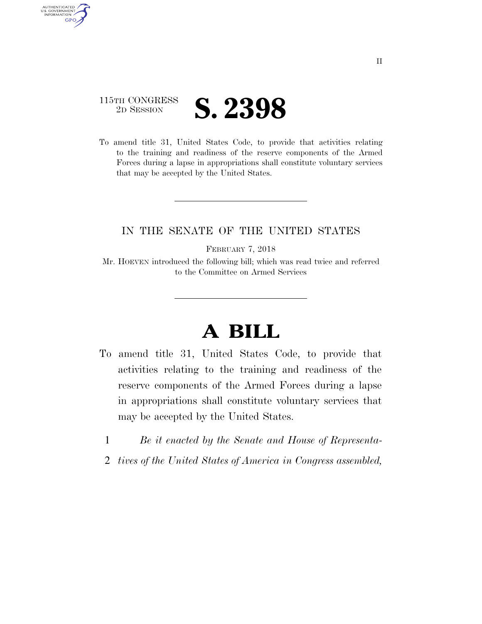## 115TH CONGRESS <sup>2D SESSION</sup> **S. 2398**

AUTHENTICATED U.S. GOVERNMENT **GPO** 

> To amend title 31, United States Code, to provide that activities relating to the training and readiness of the reserve components of the Armed Forces during a lapse in appropriations shall constitute voluntary services that may be accepted by the United States.

## IN THE SENATE OF THE UNITED STATES

FEBRUARY 7, 2018

Mr. HOEVEN introduced the following bill; which was read twice and referred to the Committee on Armed Services

## **A BILL**

- To amend title 31, United States Code, to provide that activities relating to the training and readiness of the reserve components of the Armed Forces during a lapse in appropriations shall constitute voluntary services that may be accepted by the United States.
	- 1 *Be it enacted by the Senate and House of Representa-*
	- 2 *tives of the United States of America in Congress assembled,*